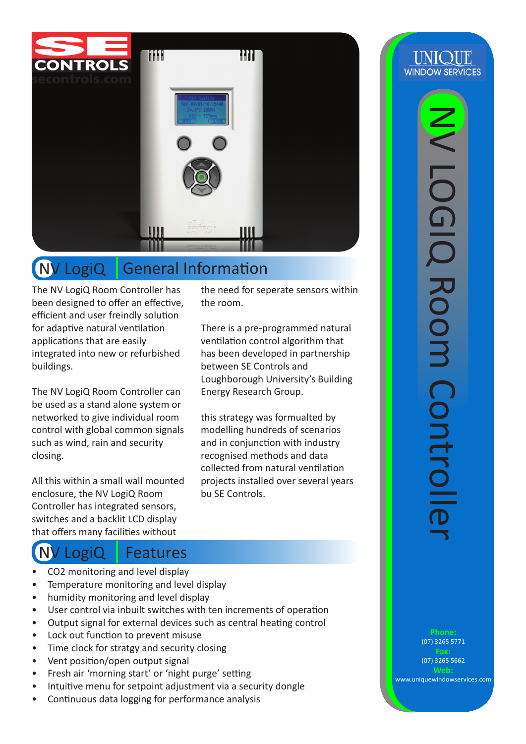

## NV LogiQ General Information

The NV LogiQ Room Controller has been designed to offer an effective, efficient and user freindly solution for adaptive natural ventilation applications that are easily integrated into new or refurbished buildings.

The NV LogiQ Room Controller can be used as a stand alone system or networked to give individual room control with global common signals such as wind, rain and security closing.

All this within a small wall mounted enclosure, the NV LogiQ Room Controller has integrated sensors, switches and a backlit LCD display that offers many facilities without

## NV LogiQ Features

- CO2 monitoring and level display
- Temperature monitoring and level display
- humidity monitoring and level display
- User control via inbuilt switches with ten increments of operation
- Output signal for external devices such as central heating control
- Lock out function to prevent misuse
- Time clock for stratgy and security closing
- Vent position/open output signal
- Fresh air 'morning start' or 'night purge' setting
- Intuitive menu for setpoint adjustment via a security dongle
- Continuous data logging for performance analysis

the need for seperate sensors within the room.

There is a pre-programmed natural ventilation control algorithm that has been developed in partnership between SE Controls and Loughborough University's Building Energy Research Group.

this strategy was formualted by modelling hundreds of scenarios and in conjunction with industry recognised methods and data collected from natural ventilation projects installed over several years bu SE Controls.

NV LOGIQ Room Controller**LOGIO Room Controlle** 

**UNIOUE** 

**WINDOW SERVICES** 

(07) 3265 5771

(07) 3265 5662

www.uniquewindowservices.com